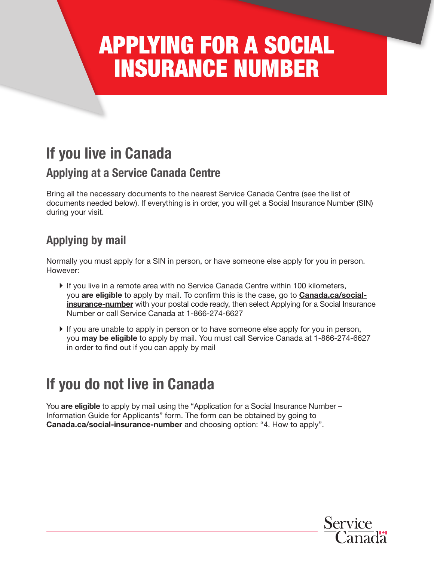# APPLYING FOR A SOCIAL INSURANCE NUMBER

## If you live in Canada

### Applying at a Service Canada Centre

Bring all the necessary documents to the nearest Service Canada Centre (see the list of documents needed below). If everything is in order, you will get a Social Insurance Number (SIN) during your visit.

### Applying by mail

Normally you must apply for a SIN in person, or have someone else apply for you in person. However:

- } If you live in a remote area with no Service Canada Centre within 100 kilometers, you are eligible to apply by mail. To confirm this is the case, go to **Canada.ca/social**insurance-number with your postal code ready, then select Applying for a Social Insurance Number or call Service Canada at 1-866-274-6627
- } If you are unable to apply in person or to have someone else apply for you in person, you may be eligible to apply by mail. You must call Service Canada at 1-866-274-6627 in order to find out if you can apply by mail

## If you do not live in Canada

You are eligible to apply by mail using the "Application for a Social Insurance Number – Information Guide for Applicants" form. The form can be obtained by going to **Canada.ca/social-insurance-number** and choosing option: "4. How to apply".

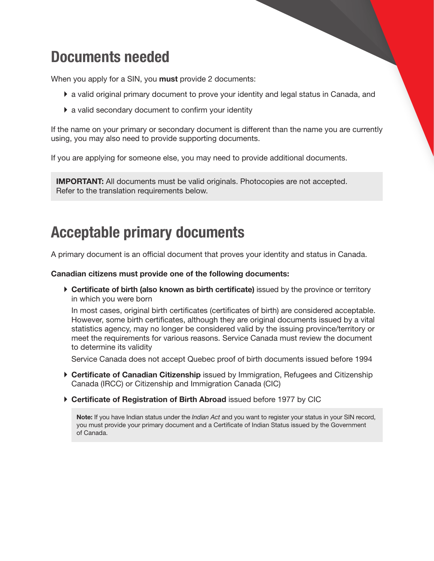## Documents needed

When you apply for a SIN, you **must** provide 2 documents:

- } a valid original primary document to prove your identity and legal status in Canada, and
- } a valid secondary document to confirm your identity

If the name on your primary or secondary document is different than the name you are currently using, you may also need to provide supporting documents.

If you are applying for someone else, you may need to provide additional documents.

**IMPORTANT:** All documents must be valid originals. Photocopies are not accepted. Refer to the translation requirements below.

## Acceptable primary documents

A primary document is an official document that proves your identity and status in Canada.

#### Canadian citizens must provide one of the following documents:

 $\triangleright$  Certificate of birth (also known as birth certificate) issued by the province or territory in which you were born

In most cases, original birth certificates (certificates of birth) are considered acceptable. However, some birth certificates, although they are original documents issued by a vital statistics agency, may no longer be considered valid by the issuing province/territory or meet the requirements for various reasons. Service Canada must review the document to determine its validity

Service Canada does not accept Quebec proof of birth documents issued before 1994

- ▶ Certificate of Canadian Citizenship issued by Immigration, Refugees and Citizenship Canada (IRCC) or Citizenship and Immigration Canada (CIC)
- ▶ Certificate of Registration of Birth Abroad issued before 1977 by CIC

Note: If you have Indian status under the *Indian Act* and you want to register your status in your SIN record, you must provide your primary document and a Certificate of Indian Status issued by the Government of Canada.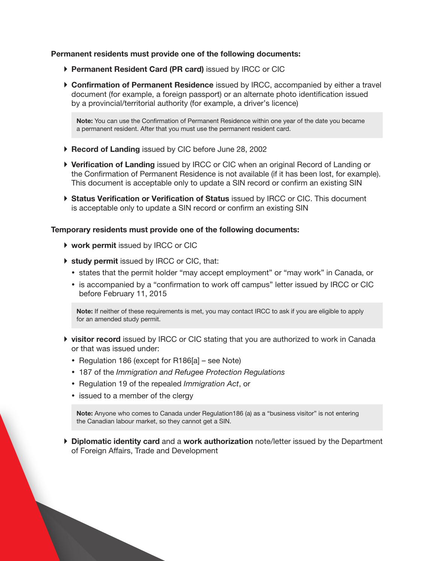#### Permanent residents must provide one of the following documents:

- ▶ Permanent Resident Card (PR card) issued by IRCC or CIC
- ▶ Confirmation of Permanent Residence issued by IRCC, accompanied by either a travel document (for example, a foreign passport) or an alternate photo identification issued by a provincial/territorial authority (for example, a driver's licence)

Note: You can use the Confirmation of Permanent Residence within one year of the date you became a permanent resident. After that you must use the permanent resident card.

- ▶ Record of Landing issued by CIC before June 28, 2002
- ▶ Verification of Landing issued by IRCC or CIC when an original Record of Landing or the Confirmation of Permanent Residence is not available (if it has been lost, for example). This document is acceptable only to update a SIN record or confirm an existing SIN
- ▶ Status Verification or Verification of Status issued by IRCC or CIC. This document is acceptable only to update a SIN record or confirm an existing SIN

#### Temporary residents must provide one of the following documents:

- ▶ work permit issued by IRCC or CIC
- ▶ study permit issued by IRCC or CIC, that:
	- states that the permit holder "may accept employment" or "may work" in Canada, or
	- is accompanied by a "confirmation to work off campus" letter issued by IRCC or CIC before February 11, 2015

Note: If neither of these requirements is met, you may contact IRCC to ask if you are eligible to apply for an amended study permit.

- **If visitor record** issued by IRCC or CIC stating that you are authorized to work in Canada or that was issued under:
	- Regulation 186 (except for  $R186[a]$  see Note)
	- 187 of the *Immigration and Refugee Protection Regulations*
	- Regulation 19 of the repealed *Immigration Act*, or
	- issued to a member of the clergy

Note: Anyone who comes to Canada under Regulation186 (a) as a "business visitor" is not entering the Canadian labour market, so they cannot get a SIN.

 $\triangleright$  Diplomatic identity card and a work authorization note/letter issued by the Department of Foreign Affairs, Trade and Development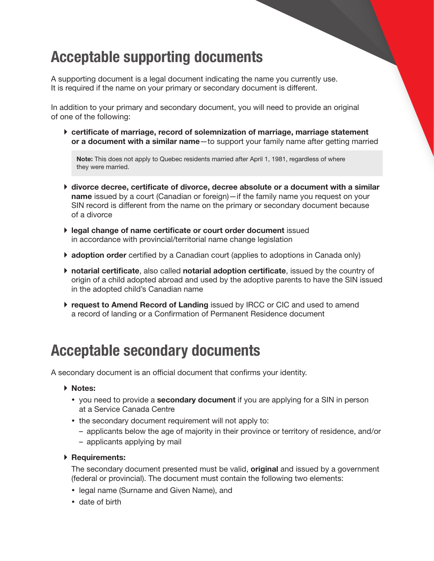## Acceptable supporting documents

A supporting document is a legal document indicating the name you currently use. It is required if the name on your primary or secondary document is different.

In addition to your primary and secondary document, you will need to provide an original of one of the following:

} certificate of marriage, record of solemnization of marriage, marriage statement or a document with a similar name-to support your family name after getting married

Note: This does not apply to Quebec residents married after April 1, 1981, regardless of where they were married.

- } divorce decree, certificate of divorce, decree absolute or a document with a similar name issued by a court (Canadian or foreign)—if the family name you request on your SIN record is different from the name on the primary or secondary document because of a divorce
- } legal change of name certificate or court order document issued in accordance with provincial/territorial name change legislation
- $\blacktriangleright$  adoption order certified by a Canadian court (applies to adoptions in Canada only)
- } notarial certificate, also called notarial adoption certificate, issued by the country of origin of a child adopted abroad and used by the adoptive parents to have the SIN issued in the adopted child's Canadian name
- } request to Amend Record of Landing issued by IRCC or CIC and used to amend a record of landing or a Confirmation of Permanent Residence document

## Acceptable secondary documents

A secondary document is an official document that confirms your identity.

- } Notes:
	- you need to provide a **secondary document** if you are applying for a SIN in person at a Service Canada Centre
	- the secondary document requirement will not apply to:
		- applicants below the age of majority in their province or territory of residence, and/or
		- applicants applying by mail

#### ▶ Requirements:

The secondary document presented must be valid, **original** and issued by a government (federal or provincial). The document must contain the following two elements:

- legal name (Surname and Given Name), and
- date of birth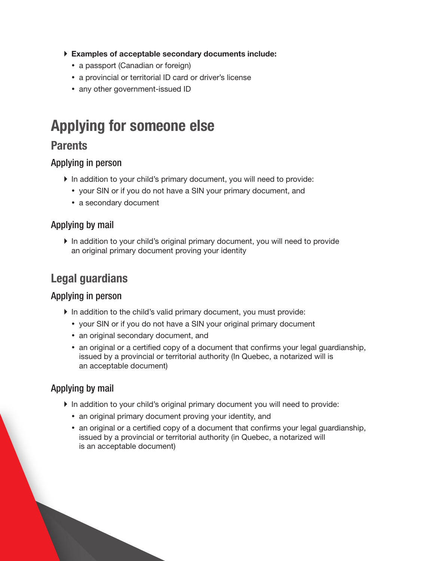- } Examples of acceptable secondary documents include:
	- a passport (Canadian or foreign)
	- a provincial or territorial ID card or driver's license
	- any other government-issued ID

## Applying for someone else

### **Parents**

### Applying in person

- } In addition to your child's primary document, you will need to provide:
	- your SIN or if you do not have a SIN your primary document, and
	- a secondary document

### Applying by mail

} In addition to your child's original primary document, you will need to provide an original primary document proving your identity

### Legal guardians

#### Applying in person

- } In addition to the child's valid primary document, you must provide:
	- your SIN or if you do not have a SIN your original primary document
	- an original secondary document, and
	- an original or a certified copy of a document that confirms your legal guardianship, issued by a provincial or territorial authority (In Quebec, a notarized will is an acceptable document)

### Applying by mail

- } In addition to your child's original primary document you will need to provide:
	- an original primary document proving your identity, and
	- an original or a certified copy of a document that confirms your legal guardianship, issued by a provincial or territorial authority (in Quebec, a notarized will is an acceptable document)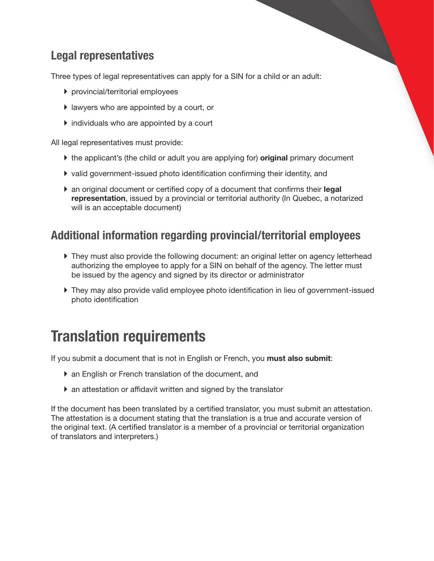### Legal representatives

Three types of legal representatives can apply for a SIN for a child or an adult:

- } provincial/territorial employees
- } lawyers who are appointed by a court, or
- } individuals who are appointed by a court

All legal representatives must provide:

- $\blacktriangleright$  the applicant's (the child or adult you are applying for) **original** primary document
- } valid government-issued photo identification confirming their identity, and
- $\blacktriangleright$  an original document or certified copy of a document that confirms their legal representation, issued by a provincial or territorial authority (In Quebec, a notarized will is an acceptable document)

### Additional information regarding provincial/territorial employees

- } They must also provide the following document: an original letter on agency letterhead authorizing the employee to apply for a SIN on behalf of the agency. The letter must be issued by the agency and signed by its director or administrator
- } They may also provide valid employee photo identification in lieu of government-issued photo identification

## Translation requirements

If you submit a document that is not in English or French, you must also submit:

- } an English or French translation of the document, and
- } an attestation or affidavit written and signed by the translator

If the document has been translated by a certified translator, you must submit an attestation. The attestation is a document stating that the translation is a true and accurate version of the original text. (A certified translator is a member of a provincial or territorial organization of translators and interpreters.)